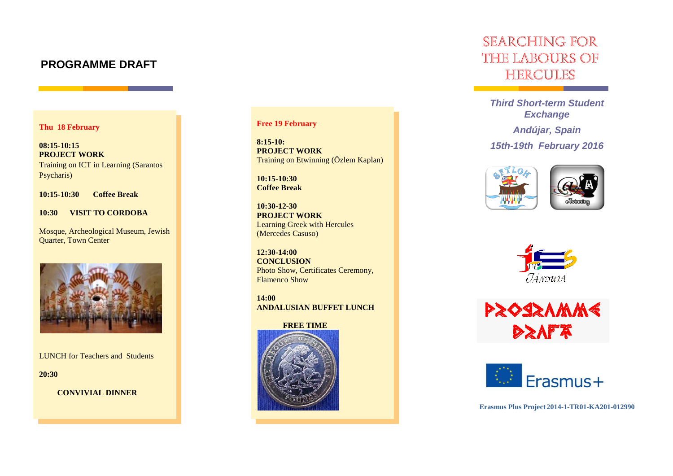# **PROGRAMME DRAFT**

## **Thu 18 February**

**08:15-10:15 PROJECT WORK** Training on ICT in Learning (Sarantos Psycharis)

**10:15-10:30 Coffee Break**

**10:30 VISIT TO CORDOBA**

Mosque, Archeological Museum, Jewish Quarter, Town Center



LUNCH for Teachers and Students

**20:30** 

 **CONVIVIAL DINNER**

# **Free 19 February**

**8:15-10: PROJECT WORK** Training on Etwinning (Özlem Kaplan)

**10:15-10:30 Coffee Break**

**10:30-12-30 PROJECT WORK** Learning Greek with Hercules (Mercedes Casuso)

**12:30-14:00 CONCLUSION** Photo Show, Certificates Ceremony, Flamenco Show

**14:00 ANDALUSIAN BUFFET LUNCH**

#### **FREE TIME**



# SEARCHING FOR the labours of **HERCULES**

*Third Short-term Student Exchange*

*Andújar, Spain 15th-19th February 2016*









**Erasmus Plus Project 2014-1-TR01-KA201-012990**